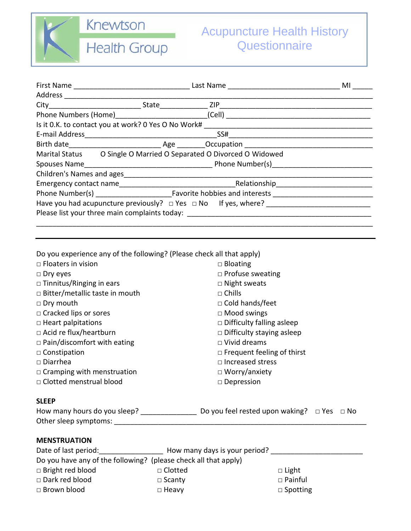

**Health Group** 

|  |                                                                    |                                                                                   | MI |  |  |
|--|--------------------------------------------------------------------|-----------------------------------------------------------------------------------|----|--|--|
|  |                                                                    |                                                                                   |    |  |  |
|  |                                                                    |                                                                                   |    |  |  |
|  |                                                                    |                                                                                   |    |  |  |
|  | Is it 0.K. to contact you at work? 0 Yes O No Work#                |                                                                                   |    |  |  |
|  |                                                                    |                                                                                   |    |  |  |
|  |                                                                    |                                                                                   |    |  |  |
|  | Marital Status O Single O Married O Separated O Divorced O Widowed |                                                                                   |    |  |  |
|  |                                                                    |                                                                                   |    |  |  |
|  |                                                                    |                                                                                   |    |  |  |
|  |                                                                    |                                                                                   |    |  |  |
|  |                                                                    |                                                                                   |    |  |  |
|  |                                                                    |                                                                                   |    |  |  |
|  |                                                                    | Please list your three main complaints today: ___________________________________ |    |  |  |
|  |                                                                    |                                                                                   |    |  |  |
|  |                                                                    |                                                                                   |    |  |  |

| Do you experience any of the following? (Please check all that apply)                                         |                               |                                   |                 |  |  |
|---------------------------------------------------------------------------------------------------------------|-------------------------------|-----------------------------------|-----------------|--|--|
| $\Box$ Floaters in vision                                                                                     |                               | $\Box$ Bloating                   |                 |  |  |
| $\Box$ Dry eyes                                                                                               |                               | $\Box$ Profuse sweating           |                 |  |  |
| □ Tinnitus/Ringing in ears                                                                                    |                               | $\Box$ Night sweats               |                 |  |  |
| $\Box$ Bitter/metallic taste in mouth                                                                         |                               | $\Box$ Chills                     |                 |  |  |
| □ Dry mouth                                                                                                   |                               | □ Cold hands/feet                 |                 |  |  |
| $\Box$ Cracked lips or sores                                                                                  |                               | $\Box$ Mood swings                |                 |  |  |
| $\Box$ Heart palpitations                                                                                     |                               | $\Box$ Difficulty falling asleep  |                 |  |  |
| $\Box$ Acid re flux/heartburn                                                                                 |                               | Difficulty staying asleep         |                 |  |  |
| $\Box$ Pain/discomfort with eating                                                                            |                               | $\Box$ Vivid dreams               |                 |  |  |
| $\Box$ Constipation                                                                                           |                               | $\Box$ Frequent feeling of thirst |                 |  |  |
| $\Box$ Diarrhea                                                                                               |                               | $\Box$ Increased stress           |                 |  |  |
| $\Box$ Cramping with menstruation                                                                             |                               | $\Box$ Worry/anxiety              |                 |  |  |
| □ Clotted menstrual blood                                                                                     |                               | $\Box$ Depression                 |                 |  |  |
| <b>SLEEP</b>                                                                                                  |                               |                                   |                 |  |  |
|                                                                                                               |                               |                                   |                 |  |  |
|                                                                                                               |                               |                                   |                 |  |  |
| <b>MENSTRUATION</b>                                                                                           |                               |                                   |                 |  |  |
| Date of last period:__________________________ How many days is your period? ________________________________ |                               |                                   |                 |  |  |
| Do you have any of the following? (please check all that apply)                                               |                               |                                   |                 |  |  |
| □ Bright red blood                                                                                            | readers and Decrement Clotted |                                   | $\Box$ Light    |  |  |
| □ Dark red blood                                                                                              | $\Box$ Scanty                 |                                   | $\Box$ Painful  |  |  |
| □ Brown blood                                                                                                 | $\Box$ Heavy                  |                                   | $\Box$ Spotting |  |  |